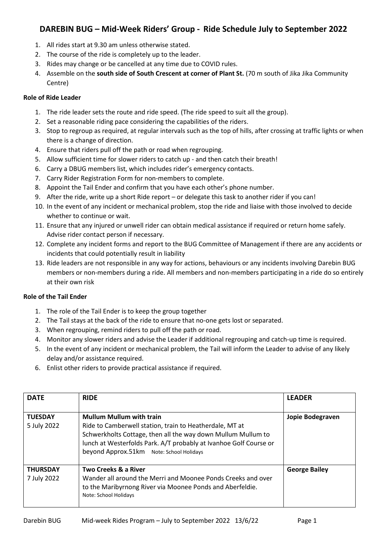## **DAREBIN BUG – Mid-Week Riders' Group - Ride Schedule July to September 2022**

- 1. All rides start at 9.30 am unless otherwise stated.
- 2. The course of the ride is completely up to the leader.
- 3. Rides may change or be cancelled at any time due to COVID rules.
- 4. Assemble on the **south side of South Crescent at corner of Plant St.** (70 m south of Jika Jika Community Centre)

## **Role of Ride Leader**

- 1. The ride leader sets the route and ride speed. (The ride speed to suit all the group).
- 2. Set a reasonable riding pace considering the capabilities of the riders.
- 3. Stop to regroup as required, at regular intervals such as the top of hills, after crossing at traffic lights or when there is a change of direction.
- 4. Ensure that riders pull off the path or road when regrouping.
- 5. Allow sufficient time for slower riders to catch up and then catch their breath!
- 6. Carry a DBUG members list, which includes rider's emergency contacts.
- 7. Carry Rider Registration Form for non-members to complete.
- 8. Appoint the Tail Ender and confirm that you have each other's phone number.
- 9. After the ride, write up a short Ride report or delegate this task to another rider if you can!
- 10. In the event of any incident or mechanical problem, stop the ride and liaise with those involved to decide whether to continue or wait.
- 11. Ensure that any injured or unwell rider can obtain medical assistance if required or return home safely. Advise rider contact person if necessary.
- 12. Complete any incident forms and report to the BUG Committee of Management if there are any accidents or incidents that could potentially result in liability
- 13. Ride leaders are not responsible in any way for actions, behaviours or any incidents involving Darebin BUG members or non-members during a ride. All members and non-members participating in a ride do so entirely at their own risk

## **Role of the Tail Ender**

- 1. The role of the Tail Ender is to keep the group together
- 2. The Tail stays at the back of the ride to ensure that no-one gets lost or separated.
- 3. When regrouping, remind riders to pull off the path or road.
- 4. Monitor any slower riders and advise the Leader if additional regrouping and catch-up time is required.
- 5. In the event of any incident or mechanical problem, the Tail will inform the Leader to advise of any likely delay and/or assistance required.
- 6. Enlist other riders to provide practical assistance if required.

| <b>DATE</b>                    | <b>RIDE</b>                                                                                                                                                                                                                                                                 | <b>LEADER</b>        |
|--------------------------------|-----------------------------------------------------------------------------------------------------------------------------------------------------------------------------------------------------------------------------------------------------------------------------|----------------------|
| <b>TUESDAY</b><br>5 July 2022  | <b>Mullum Mullum with train</b><br>Ride to Camberwell station, train to Heatherdale, MT at<br>Schwerkholts Cottage, then all the way down Mullum Mullum to<br>lunch at Westerfolds Park. A/T probably at Ivanhoe Golf Course or<br>beyond Approx.51km Note: School Holidays | Jopie Bodegraven     |
| <b>THURSDAY</b><br>7 July 2022 | Two Creeks & a River<br>Wander all around the Merri and Moonee Ponds Creeks and over<br>to the Maribyrnong River via Moonee Ponds and Aberfeldie.<br>Note: School Holidays                                                                                                  | <b>George Bailey</b> |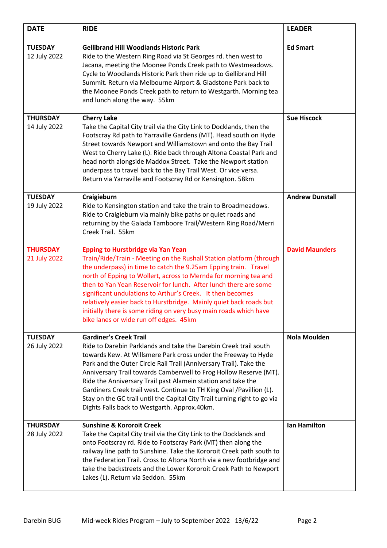| <b>DATE</b>                     | <b>RIDE</b>                                                                                                                                                                                                                                                                                                                                                                                                                                                                                                                                                                         | <b>LEADER</b>          |
|---------------------------------|-------------------------------------------------------------------------------------------------------------------------------------------------------------------------------------------------------------------------------------------------------------------------------------------------------------------------------------------------------------------------------------------------------------------------------------------------------------------------------------------------------------------------------------------------------------------------------------|------------------------|
| <b>TUESDAY</b><br>12 July 2022  | <b>Gellibrand Hill Woodlands Historic Park</b><br>Ride to the Western Ring Road via St Georges rd. then west to<br>Jacana, meeting the Moonee Ponds Creek path to Westmeadows.<br>Cycle to Woodlands Historic Park then ride up to Gellibrand Hill<br>Summit. Return via Melbourne Airport & Gladstone Park back to<br>the Moonee Ponds Creek path to return to Westgarth. Morning tea<br>and lunch along the way. 55km                                                                                                                                                             | <b>Ed Smart</b>        |
| <b>THURSDAY</b><br>14 July 2022 | <b>Cherry Lake</b><br>Take the Capital City trail via the City Link to Docklands, then the<br>Footscray Rd path to Yarraville Gardens (MT). Head south on Hyde<br>Street towards Newport and Williamstown and onto the Bay Trail<br>West to Cherry Lake (L). Ride back through Altona Coastal Park and<br>head north alongside Maddox Street. Take the Newport station<br>underpass to travel back to the Bay Trail West. Or vice versa.<br>Return via Yarraville and Footscray Rd or Kensington. 58km                                                                              | <b>Sue Hiscock</b>     |
| <b>TUESDAY</b><br>19 July 2022  | Craigieburn<br>Ride to Kensington station and take the train to Broadmeadows.<br>Ride to Craigieburn via mainly bike paths or quiet roads and<br>returning by the Galada Tamboore Trail/Western Ring Road/Merri<br>Creek Trail. 55km                                                                                                                                                                                                                                                                                                                                                | <b>Andrew Dunstall</b> |
| <b>THURSDAY</b><br>21 July 2022 | <b>Epping to Hurstbridge via Yan Yean</b><br>Train/Ride/Train - Meeting on the Rushall Station platform (through<br>the underpass) in time to catch the 9.25am Epping train. Travel<br>north of Epping to Wollert, across to Mernda for morning tea and<br>then to Yan Yean Reservoir for lunch. After lunch there are some<br>significant undulations to Arthur's Creek. It then becomes<br>relatively easier back to Hurstbridge. Mainly quiet back roads but<br>initially there is some riding on very busy main roads which have<br>bike lanes or wide run off edges. 45km      | <b>David Maunders</b>  |
| <b>TUESDAY</b><br>26 July 2022  | <b>Gardiner's Creek Trail</b><br>Ride to Darebin Parklands and take the Darebin Creek trail south<br>towards Kew. At Willsmere Park cross under the Freeway to Hyde<br>Park and the Outer Circle Rail Trail (Anniversary Trail). Take the<br>Anniversary Trail towards Camberwell to Frog Hollow Reserve (MT).<br>Ride the Anniversary Trail past Alamein station and take the<br>Gardiners Creek trail west. Continue to TH King Oval /Pavillion (L).<br>Stay on the GC trail until the Capital City Trail turning right to go via<br>Dights Falls back to Westgarth. Approx.40km. | <b>Nola Moulden</b>    |
| <b>THURSDAY</b><br>28 July 2022 | <b>Sunshine &amp; Kororoit Creek</b><br>Take the Capital City trail via the City Link to the Docklands and<br>onto Footscray rd. Ride to Footscray Park (MT) then along the<br>railway line path to Sunshine. Take the Kororoit Creek path south to<br>the Federation Trail. Cross to Altona North via a new footbridge and<br>take the backstreets and the Lower Kororoit Creek Path to Newport<br>Lakes (L). Return via Seddon. 55km                                                                                                                                              | Ian Hamilton           |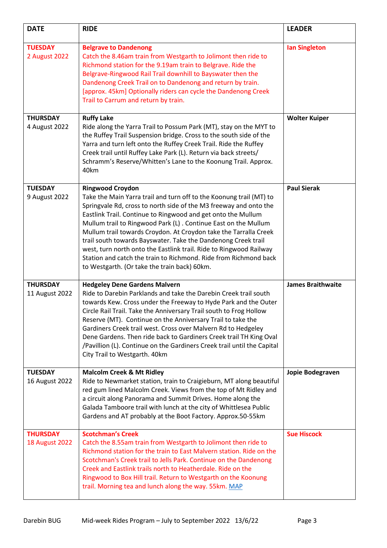| <b>DATE</b>                              | <b>RIDE</b>                                                                                                                                                                                                                                                                                                                                                                                                                                                                                                                                                                                                                           | <b>LEADER</b>            |
|------------------------------------------|---------------------------------------------------------------------------------------------------------------------------------------------------------------------------------------------------------------------------------------------------------------------------------------------------------------------------------------------------------------------------------------------------------------------------------------------------------------------------------------------------------------------------------------------------------------------------------------------------------------------------------------|--------------------------|
| <b>TUESDAY</b><br>2 August 2022          | <b>Belgrave to Dandenong</b><br>Catch the 8.46am train from Westgarth to Jolimont then ride to<br>Richmond station for the 9.19am train to Belgrave. Ride the<br>Belgrave-Ringwood Rail Trail downhill to Bayswater then the<br>Dandenong Creek Trail on to Dandenong and return by train.<br>[approx. 45km] Optionally riders can cycle the Dandenong Creek<br>Trail to Carrum and return by train.                                                                                                                                                                                                                                  | <b>Ian Singleton</b>     |
| <b>THURSDAY</b><br>4 August 2022         | <b>Ruffy Lake</b><br>Ride along the Yarra Trail to Possum Park (MT), stay on the MYT to<br>the Ruffey Trail Suspension bridge. Cross to the south side of the<br>Yarra and turn left onto the Ruffey Creek Trail. Ride the Ruffey<br>Creek trail until Ruffey Lake Park (L). Return via back streets/<br>Schramm's Reserve/Whitten's Lane to the Koonung Trail. Approx.<br>40km                                                                                                                                                                                                                                                       | <b>Wolter Kuiper</b>     |
| <b>TUESDAY</b><br>9 August 2022          | <b>Ringwood Croydon</b><br>Take the Main Yarra trail and turn off to the Koonung trail (MT) to<br>Springvale Rd, cross to north side of the M3 freeway and onto the<br>Eastlink Trail. Continue to Ringwood and get onto the Mullum<br>Mullum trail to Ringwood Park (L) . Continue East on the Mullum<br>Mullum trail towards Croydon. At Croydon take the Tarralla Creek<br>trail south towards Bayswater. Take the Dandenong Creek trail<br>west, turn north onto the Eastlink trail. Ride to Ringwood Railway<br>Station and catch the train to Richmond. Ride from Richmond back<br>to Westgarth. (Or take the train back) 60km. | <b>Paul Sierak</b>       |
| <b>THURSDAY</b><br>11 August 2022        | <b>Hedgeley Dene Gardens Malvern</b><br>Ride to Darebin Parklands and take the Darebin Creek trail south<br>towards Kew. Cross under the Freeway to Hyde Park and the Outer<br>Circle Rail Trail. Take the Anniversary Trail south to Frog Hollow<br>Reserve (MT). Continue on the Anniversary Trail to take the<br>Gardiners Creek trail west. Cross over Malvern Rd to Hedgeley<br>Dene Gardens. Then ride back to Gardiners Creek trail TH King Oval<br>/Pavillion (L). Continue on the Gardiners Creek trail until the Capital<br>City Trail to Westgarth. 40km                                                                   | <b>James Braithwaite</b> |
| <b>TUESDAY</b><br>16 August 2022         | <b>Malcolm Creek &amp; Mt Ridley</b><br>Ride to Newmarket station, train to Craigieburn, MT along beautiful<br>red gum lined Malcolm Creek. Views from the top of Mt Ridley and<br>a circuit along Panorama and Summit Drives. Home along the<br>Galada Tamboore trail with lunch at the city of Whittlesea Public<br>Gardens and AT probably at the Boot Factory. Approx.50-55km                                                                                                                                                                                                                                                     | Jopie Bodegraven         |
| <b>THURSDAY</b><br><b>18 August 2022</b> | <b>Scotchman's Creek</b><br>Catch the 8.55am train from Westgarth to Jolimont then ride to<br>Richmond station for the train to East Malvern station. Ride on the<br>Scotchman's Creek trail to Jells Park. Continue on the Dandenong<br>Creek and Eastlink trails north to Heatherdale. Ride on the<br>Ringwood to Box Hill trail. Return to Westgarth on the Koonung<br>trail. Morning tea and lunch along the way. 55km. MAP                                                                                                                                                                                                       | <b>Sue Hiscock</b>       |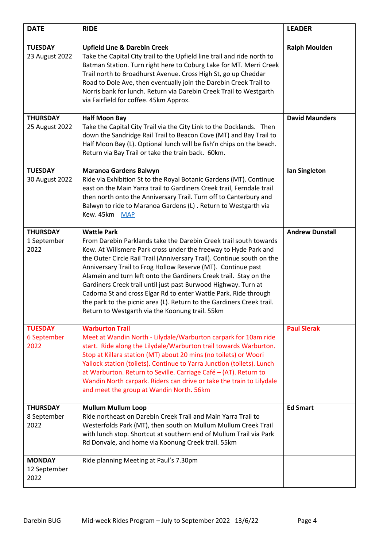| <b>DATE</b>                            | <b>RIDE</b>                                                                                                                                                                                                                                                                                                                                                                                                                                                                                                                                                                                                                                 | <b>LEADER</b>          |
|----------------------------------------|---------------------------------------------------------------------------------------------------------------------------------------------------------------------------------------------------------------------------------------------------------------------------------------------------------------------------------------------------------------------------------------------------------------------------------------------------------------------------------------------------------------------------------------------------------------------------------------------------------------------------------------------|------------------------|
| <b>TUESDAY</b><br>23 August 2022       | <b>Upfield Line &amp; Darebin Creek</b><br>Take the Capital City trail to the Upfield line trail and ride north to<br>Batman Station. Turn right here to Coburg Lake for MT. Merri Creek<br>Trail north to Broadhurst Avenue. Cross High St, go up Cheddar<br>Road to Dole Ave, then eventually join the Darebin Creek Trail to<br>Norris bank for lunch. Return via Darebin Creek Trail to Westgarth<br>via Fairfield for coffee. 45km Approx.                                                                                                                                                                                             | <b>Ralph Moulden</b>   |
| <b>THURSDAY</b><br>25 August 2022      | <b>Half Moon Bay</b><br>Take the Capital City Trail via the City Link to the Docklands. Then<br>down the Sandridge Rail Trail to Beacon Cove (MT) and Bay Trail to<br>Half Moon Bay (L). Optional lunch will be fish'n chips on the beach.<br>Return via Bay Trail or take the train back. 60km.                                                                                                                                                                                                                                                                                                                                            | <b>David Maunders</b>  |
| <b>TUESDAY</b><br>30 August 2022       | <b>Maranoa Gardens Balwyn</b><br>Ride via Exhibition St to the Royal Botanic Gardens (MT). Continue<br>east on the Main Yarra trail to Gardiners Creek trail, Ferndale trail<br>then north onto the Anniversary Trail. Turn off to Canterbury and<br>Balwyn to ride to Maranoa Gardens (L) . Return to Westgarth via<br>Kew. 45km MAP                                                                                                                                                                                                                                                                                                       | Ian Singleton          |
| <b>THURSDAY</b><br>1 September<br>2022 | <b>Wattle Park</b><br>From Darebin Parklands take the Darebin Creek trail south towards<br>Kew. At Willsmere Park cross under the freeway to Hyde Park and<br>the Outer Circle Rail Trail (Anniversary Trail). Continue south on the<br>Anniversary Trail to Frog Hollow Reserve (MT). Continue past<br>Alamein and turn left onto the Gardiners Creek trail. Stay on the<br>Gardiners Creek trail until just past Burwood Highway. Turn at<br>Cadorna St and cross Elgar Rd to enter Wattle Park. Ride through<br>the park to the picnic area (L). Return to the Gardiners Creek trail.<br>Return to Westgarth via the Koonung trail. 55km | <b>Andrew Dunstall</b> |
| <b>TUESDAY</b><br>6 September<br>2022  | <b>Warburton Trail</b><br>Meet at Wandin North - Lilydale/Warburton carpark for 10am ride<br>start. Ride along the Lilydale/Warburton trail towards Warburton.<br>Stop at Killara station (MT) about 20 mins (no toilets) or Woori<br>Yallock station (toilets). Continue to Yarra Junction (toilets). Lunch<br>at Warburton. Return to Seville. Carriage Café - (AT). Return to<br>Wandin North carpark. Riders can drive or take the train to Lilydale<br>and meet the group at Wandin North. 56km                                                                                                                                        | <b>Paul Sierak</b>     |
| <b>THURSDAY</b><br>8 September<br>2022 | <b>Mullum Mullum Loop</b><br>Ride northeast on Darebin Creek Trail and Main Yarra Trail to<br>Westerfolds Park (MT), then south on Mullum Mullum Creek Trail<br>with lunch stop. Shortcut at southern end of Mullum Trail via Park<br>Rd Donvale, and home via Koonung Creek trail. 55km                                                                                                                                                                                                                                                                                                                                                    | <b>Ed Smart</b>        |
| <b>MONDAY</b><br>12 September<br>2022  | Ride planning Meeting at Paul's 7.30pm                                                                                                                                                                                                                                                                                                                                                                                                                                                                                                                                                                                                      |                        |